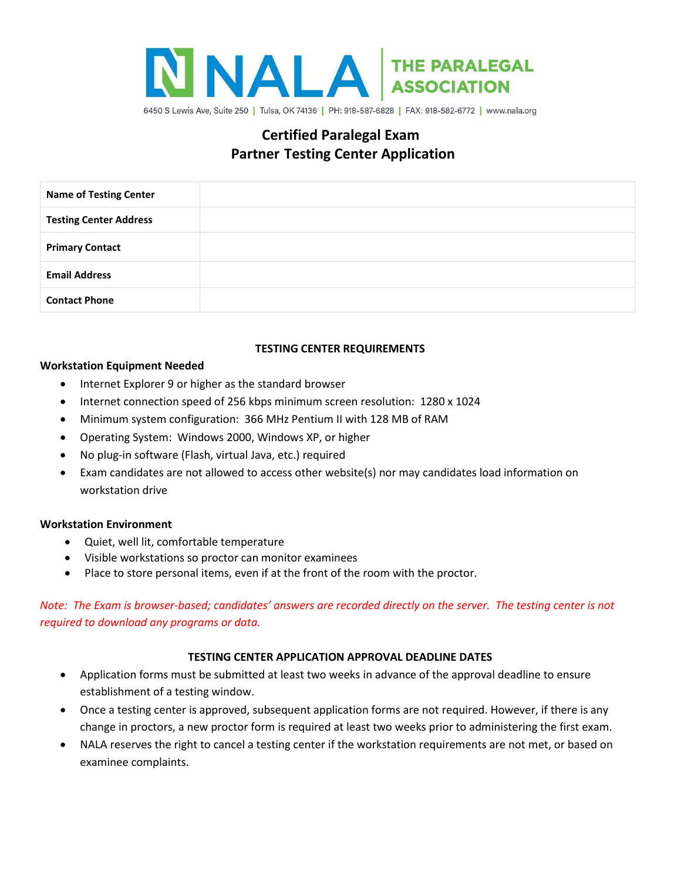

# **Certified Paralegal Exam Partner Testing Center Application**

| <b>Name of Testing Center</b> |  |
|-------------------------------|--|
| <b>Testing Center Address</b> |  |
| <b>Primary Contact</b>        |  |
| <b>Email Address</b>          |  |
| <b>Contact Phone</b>          |  |

# **TESTING CENTER REQUIREMENTS**

# **Workstation Equipment Needed**

- Internet Explorer 9 or higher as the standard browser
- Internet connection speed of 256 kbps minimum screen resolution: 1280 x 1024
- Minimum system configuration: 366 MHz Pentium II with 128 MB of RAM
- Operating System: Windows 2000, Windows XP, or higher
- No plug-in software (Flash, virtual Java, etc.) required
- Exam candidates are not allowed to access other website(s) nor may candidates load information on workstation drive

# **Workstation Environment**

- Quiet, well lit, comfortable temperature
- Visible workstations so proctor can monitor examinees
- Place to store personal items, even if at the front of the room with the proctor.

*Note: The Exam is browser-based; candidates' answers are recorded directly on the server. The testing center is not required to download any programs or data.*

# **TESTING CENTER APPLICATION APPROVAL DEADLINE DATES**

- Application forms must be submitted at least two weeks in advance of the approval deadline to ensure establishment of a testing window.
- Once a testing center is approved, subsequent application forms are not required. However, if there is any change in proctors, a new proctor form is required at least two weeks prior to administering the first exam.
- NALA reserves the right to cancel a testing center if the workstation requirements are not met, or based on examinee complaints.